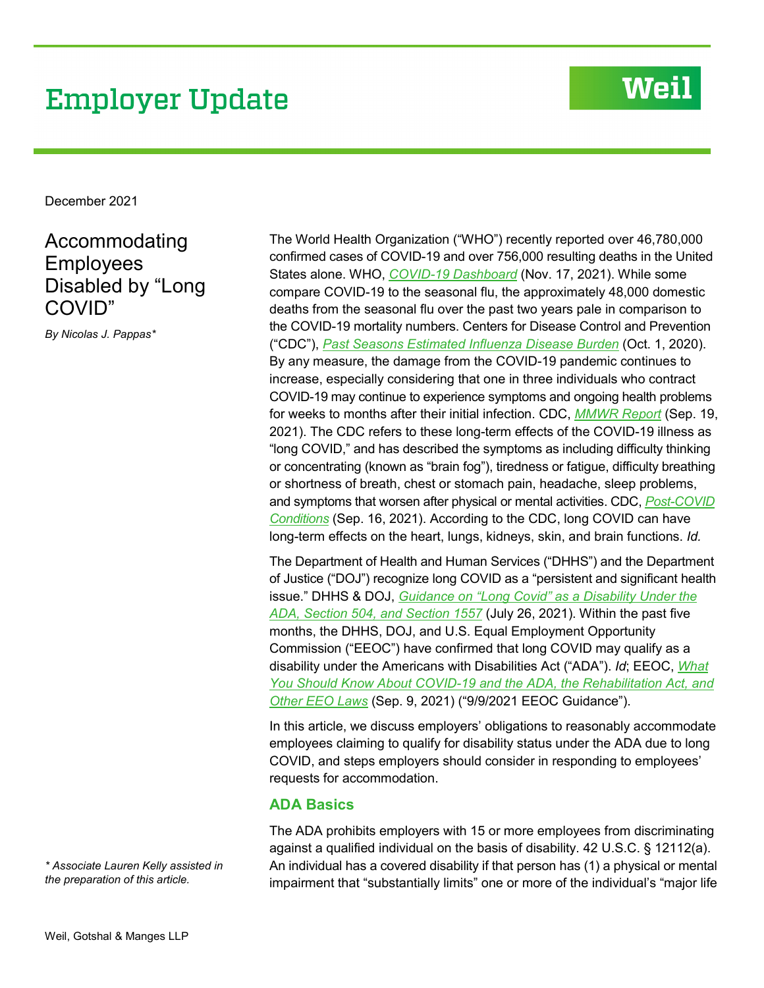# **Employer Update**

## **Weil**

December 2021

## Accommodating Employees Disabled by "Long COVID"

*By Nicolas J. Pappas\**

The World Health Organization ("WHO") recently reported over 46,780,000 confirmed cases of COVID-19 and over 756,000 resulting deaths in the United States alone. WHO, *[COVID-19 Dashboard](https://covid19.who.int/region/amro/country/us)* (Nov. 17, 2021). While some compare COVID-19 to the seasonal flu, the approximately 48,000 domestic deaths from the seasonal flu over the past two years pale in comparison to the COVID-19 mortality numbers. Centers for Disease Control and Prevention ("CDC"), *[Past Seasons Estimated Influenza Disease Burden](https://www.cdc.gov/flu/about/burden/past-seasons.html)* (Oct. 1, 2020). By any measure, the damage from the COVID-19 pandemic continues to increase, especially considering that one in three individuals who contract COVID-19 may continue to experience symptoms and ongoing health problems for weeks to months after their initial infection. CDC, *[MMWR Report](https://www.cdc.gov/mmwr/volumes/70/wr/mm7037a2.htm?s_cid=mm7037a2_x)* (Sep. 19, 2021). The CDC refers to these long-term effects of the COVID-19 illness as "long COVID," and has described the symptoms as including difficulty thinking or concentrating (known as "brain fog"), tiredness or fatigue, difficulty breathing or shortness of breath, chest or stomach pain, headache, sleep problems, and symptoms that worsen after physical or mental activities. CDC, *[Post-COVID](https://www.cdc.gov/coronavirus/2019-ncov/long-term-effects/index.html)  [Conditions](https://www.cdc.gov/coronavirus/2019-ncov/long-term-effects/index.html)* (Sep. 16, 2021). According to the CDC, long COVID can have long-term effects on the heart, lungs, kidneys, skin, and brain functions. *Id.*

The Department of Health and Human Services ("DHHS") and the Department of Justice ("DOJ") recognize long COVID as a "persistent and significant health issue." DHHS & DOJ, *[Guidance on "Long Covid" as a Disability Under the](https://www.ada.gov/long_covid_joint_guidance.pdf)  [ADA, Section 504, and Section 1557](https://www.ada.gov/long_covid_joint_guidance.pdf)* (July 26, 2021). Within the past five months, the DHHS, DOJ, and U.S. Equal Employment Opportunity Commission ("EEOC") have confirmed that long COVID may qualify as a disability under the Americans with Disabilities Act ("ADA"). *Id*; EEOC, *[What](https://www.eeoc.gov/wysk/what-you-should-know-about-covid-19-and-ada-rehabilitation-act-and-other-eeo-laws)  [You Should Know About COVID-19 and the ADA, the Rehabilitation Act, and](https://www.eeoc.gov/wysk/what-you-should-know-about-covid-19-and-ada-rehabilitation-act-and-other-eeo-laws)  [Other EEO Laws](https://www.eeoc.gov/wysk/what-you-should-know-about-covid-19-and-ada-rehabilitation-act-and-other-eeo-laws)* (Sep. 9, 2021) ("9/9/2021 EEOC Guidance").

In this article, we discuss employers' obligations to reasonably accommodate employees claiming to qualify for disability status under the ADA due to long COVID, and steps employers should consider in responding to employees' requests for accommodation.

#### **ADA Basics**

The ADA prohibits employers with 15 or more employees from discriminating against a qualified individual on the basis of disability. 42 U.S.C. § 12112(a). An individual has a covered disability if that person has (1) a physical or mental impairment that "substantially limits" one or more of the individual's "major life

*\* Associate Lauren Kelly assisted in the preparation of this article.*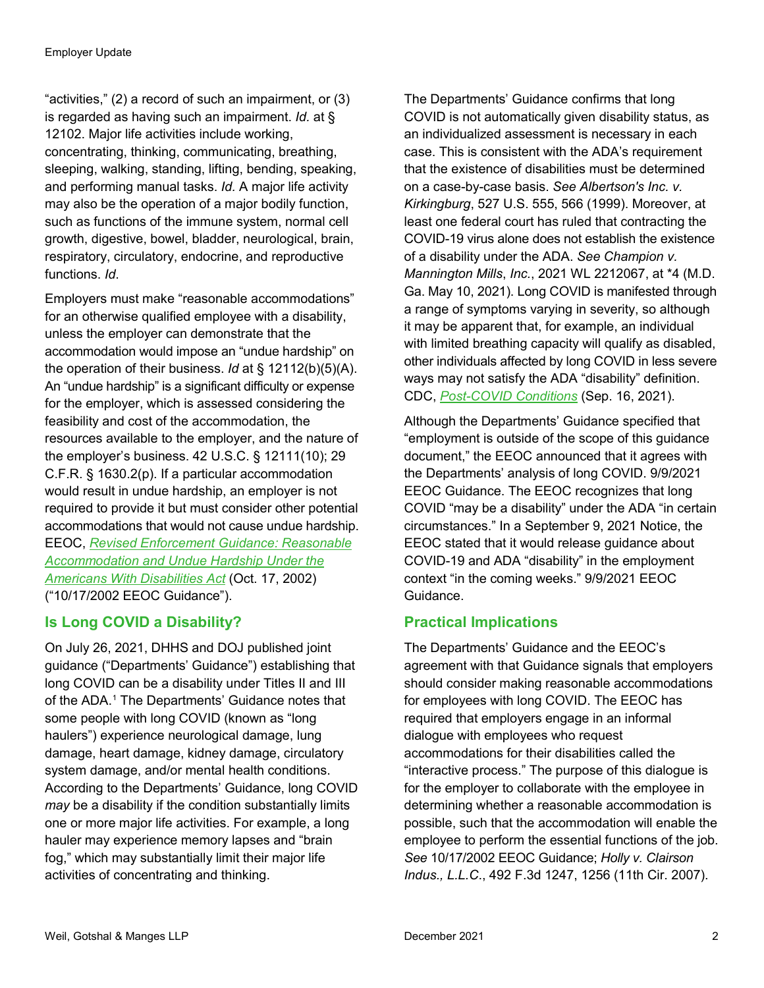"activities," (2) a record of such an impairment, or (3) is regarded as having such an impairment. *Id.* at § 12102. Major life activities include working, concentrating, thinking, communicating, breathing, sleeping, walking, standing, lifting, bending, speaking, and performing manual tasks. *Id.* A major life activity may also be the operation of a major bodily function, such as functions of the immune system, normal cell growth, digestive, bowel, bladder, neurological, brain, respiratory, circulatory, endocrine, and reproductive functions. *Id*.

Employers must make "reasonable accommodations" for an otherwise qualified employee with a disability, unless the employer can demonstrate that the accommodation would impose an "undue hardship" on the operation of their business. *Id* at § 12112(b)(5)(A). An "undue hardship" is a significant difficulty or expense for the employer, which is assessed considering the feasibility and cost of the accommodation, the resources available to the employer, and the nature of the employer's business. 42 U.S.C. § 12111(10); 29 C.F.R. § 1630.2(p). If a particular accommodation would result in undue hardship, an employer is not required to provide it but must consider other potential accommodations that would not cause undue hardship. EEOC, *[Revised Enforcement Guidance: Reasonable](https://www.eeoc.gov/laws/guidance/enforcement-guidance-reasonable-accommodation-and-undue-hardship-under-ada#undue)  [Accommodation and Undue Hardship Under the](https://www.eeoc.gov/laws/guidance/enforcement-guidance-reasonable-accommodation-and-undue-hardship-under-ada#undue)  [Americans With Disabilities Act](https://www.eeoc.gov/laws/guidance/enforcement-guidance-reasonable-accommodation-and-undue-hardship-under-ada#undue)* (Oct. 17, 2002) ("10/17/2002 EEOC Guidance").

### **Is Long COVID a Disability?**

On July 26, 2021, DHHS and DOJ published joint guidance ("Departments' Guidance") establishing that long COVID can be a disability under Titles II and III of the ADA.<sup>[1](#page-2-0)</sup> The Departments' Guidance notes that some people with long COVID (known as "long haulers") experience neurological damage, lung damage, heart damage, kidney damage, circulatory system damage, and/or mental health conditions. According to the Departments' Guidance, long COVID *may* be a disability if the condition substantially limits one or more major life activities. For example, a long hauler may experience memory lapses and "brain fog," which may substantially limit their major life activities of concentrating and thinking.

The Departments' Guidance confirms that long COVID is not automatically given disability status, as an individualized assessment is necessary in each case. This is consistent with the ADA's requirement that the existence of disabilities must be determined on a case-by-case basis. *See Albertson's Inc. v. Kirkingburg*, 527 U.S. 555, 566 (1999). Moreover, at least one federal court has ruled that contracting the COVID-19 virus alone does not establish the existence of a disability under the ADA. *See Champion v. Mannington Mills*, *Inc.*, 2021 WL 2212067, at \*4 (M.D. Ga. May 10, 2021). Long COVID is manifested through a range of symptoms varying in severity, so although it may be apparent that, for example, an individual with limited breathing capacity will qualify as disabled, other individuals affected by long COVID in less severe ways may not satisfy the ADA "disability" definition. CDC, *[Post-COVID Conditions](https://www.cdc.gov/coronavirus/2019-ncov/long-term-effects/index.html)* (Sep. 16, 2021).

Although the Departments' Guidance specified that "employment is outside of the scope of this guidance document," the EEOC announced that it agrees with the Departments' analysis of long COVID. 9/9/2021 EEOC Guidance. The EEOC recognizes that long COVID "may be a disability" under the ADA "in certain circumstances." In a September 9, 2021 Notice, the EEOC stated that it would release guidance about COVID-19 and ADA "disability" in the employment context "in the coming weeks." 9/9/2021 EEOC Guidance.

### **Practical Implications**

The Departments' Guidance and the EEOC's agreement with that Guidance signals that employers should consider making reasonable accommodations for employees with long COVID. The EEOC has required that employers engage in an informal dialogue with employees who request accommodations for their disabilities called the "interactive process." The purpose of this dialogue is for the employer to collaborate with the employee in determining whether a reasonable accommodation is possible, such that the accommodation will enable the employee to perform the essential functions of the job. *See* 10/17/2002 EEOC Guidance; *Holly v. Clairson Indus., L.L.C*., 492 F.3d 1247, 1256 (11th Cir. 2007).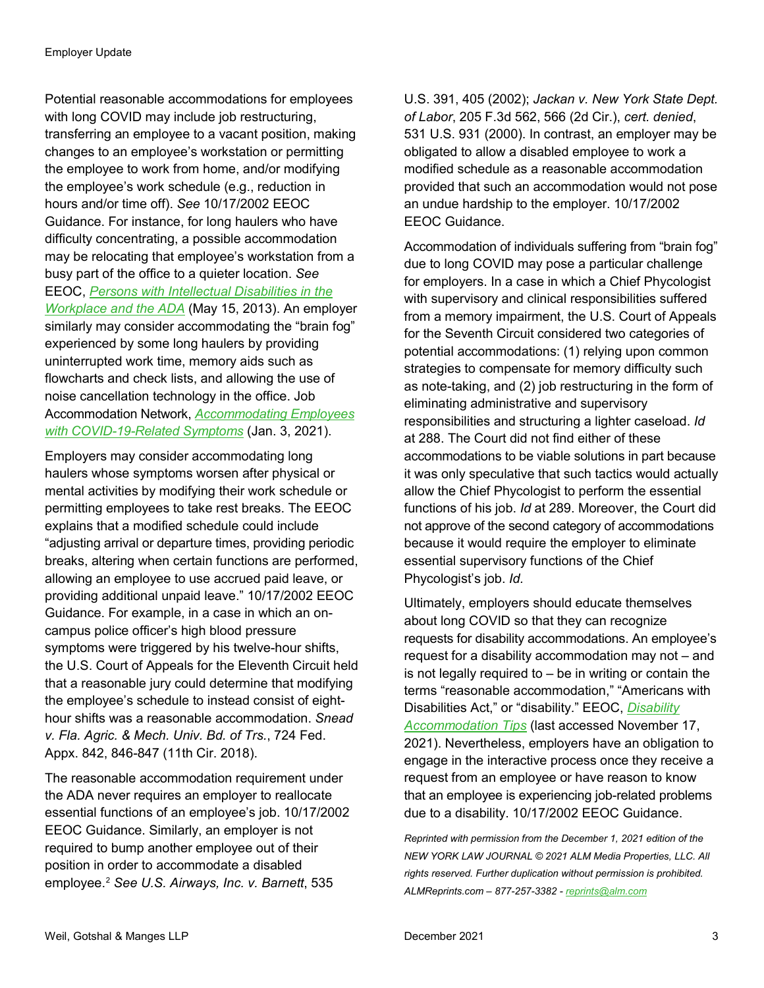<span id="page-2-1"></span><span id="page-2-0"></span>Potential reasonable accommodations for employees with long COVID may include job restructuring, transferring an employee to a vacant position, making changes to an employee's workstation or permitting the employee to work from home, and/or modifying the employee's work schedule (e.g., reduction in hours and/or time off). *See* 10/17/2002 EEOC Guidance. For instance, for long haulers who have difficulty concentrating, a possible accommodation may be relocating that employee's workstation from a busy part of the office to a quieter location. *See*  EEOC, *[Persons with Intellectual Disabilities in the](https://www.eeoc.gov/laws/guidance/persons-intellectual-disabilities-workplace-and-ada)  [Workplace and the ADA](https://www.eeoc.gov/laws/guidance/persons-intellectual-disabilities-workplace-and-ada)* (May 15, 2013). An employer similarly may consider accommodating the "brain fog" experienced by some long haulers by providing uninterrupted work time, memory aids such as flowcharts and check lists, and allowing the use of noise cancellation technology in the office. Job Accommodation Network, *[Accommodating Employees](https://askjan.org/blogs/jan/2021/03/accommodating-employees-with-covid-19-related-symptoms.cfm)  [with COVID-19-Related Symptoms](https://askjan.org/blogs/jan/2021/03/accommodating-employees-with-covid-19-related-symptoms.cfm)* (Jan. 3, 2021).

Employers may consider accommodating long haulers whose symptoms worsen after physical or mental activities by modifying their work schedule or permitting employees to take rest breaks. The EEOC explains that a modified schedule could include "adjusting arrival or departure times, providing periodic breaks, altering when certain functions are performed, allowing an employee to use accrued paid leave, or providing additional unpaid leave." 10/17/2002 EEOC Guidance. For example, in a case in which an oncampus police officer's high blood pressure symptoms were triggered by his twelve-hour shifts, the U.S. Court of Appeals for the Eleventh Circuit held that a reasonable jury could determine that modifying the employee's schedule to instead consist of eighthour shifts was a reasonable accommodation. *Snead v. Fla. Agric. & Mech. Univ. Bd. of Trs.*, 724 Fed. Appx. 842, 846-847 (11th Cir. 2018).

The reasonable accommodation requirement under the ADA never requires an employer to reallocate essential functions of an employee's job. 10/17/2002 EEOC Guidance. Similarly, an employer is not required to bump another employee out of their position in order to accommodate a disabled employee.[2](#page-2-1) *See U.S. Airways, Inc. v. Barnett*, 535

U.S. 391, 405 (2002); *Jackan v. New York State Dept. of Labor*, 205 F.3d 562, 566 (2d Cir.), *cert. denied*, 531 U.S. 931 (2000). In contrast, an employer may be obligated to allow a disabled employee to work a modified schedule as a reasonable accommodation provided that such an accommodation would not pose an undue hardship to the employer. 10/17/2002 EEOC Guidance.

Accommodation of individuals suffering from "brain fog" due to long COVID may pose a particular challenge for employers. In a case in which a Chief Phycologist with supervisory and clinical responsibilities suffered from a memory impairment, the U.S. Court of Appeals for the Seventh Circuit considered two categories of potential accommodations: (1) relying upon common strategies to compensate for memory difficulty such as note-taking, and (2) job restructuring in the form of eliminating administrative and supervisory responsibilities and structuring a lighter caseload. *Id*  at 288. The Court did not find either of these accommodations to be viable solutions in part because it was only speculative that such tactics would actually allow the Chief Phycologist to perform the essential functions of his job. *Id* at 289. Moreover, the Court did not approve of the second category of accommodations because it would require the employer to eliminate essential supervisory functions of the Chief Phycologist's job. *Id.*

Ultimately, employers should educate themselves about long COVID so that they can recognize requests for disability accommodations. An employee's request for a disability accommodation may not – and is not legally required to – be in writing or contain the terms "reasonable accommodation," "Americans with Disabilities Act," or "disability." EEOC, *[Disability](https://www.eeoc.gov/employers/small-business/disability-accommodations-tips)  [Accommodation Tips](https://www.eeoc.gov/employers/small-business/disability-accommodations-tips)* (last accessed November 17, 2021). Nevertheless, employers have an obligation to engage in the interactive process once they receive a request from an employee or have reason to know that an employee is experiencing job-related problems due to a disability. 10/17/2002 EEOC Guidance.

*Reprinted with permission from the December 1, 2021 edition of the NEW YORK LAW JOURNAL © 2021 ALM Media Properties, LLC. All rights reserved. Further duplication without permission is prohibited. ALMReprints.com – 877-257-3382 - [reprints@alm.com](mailto:reprints@alm.com)*